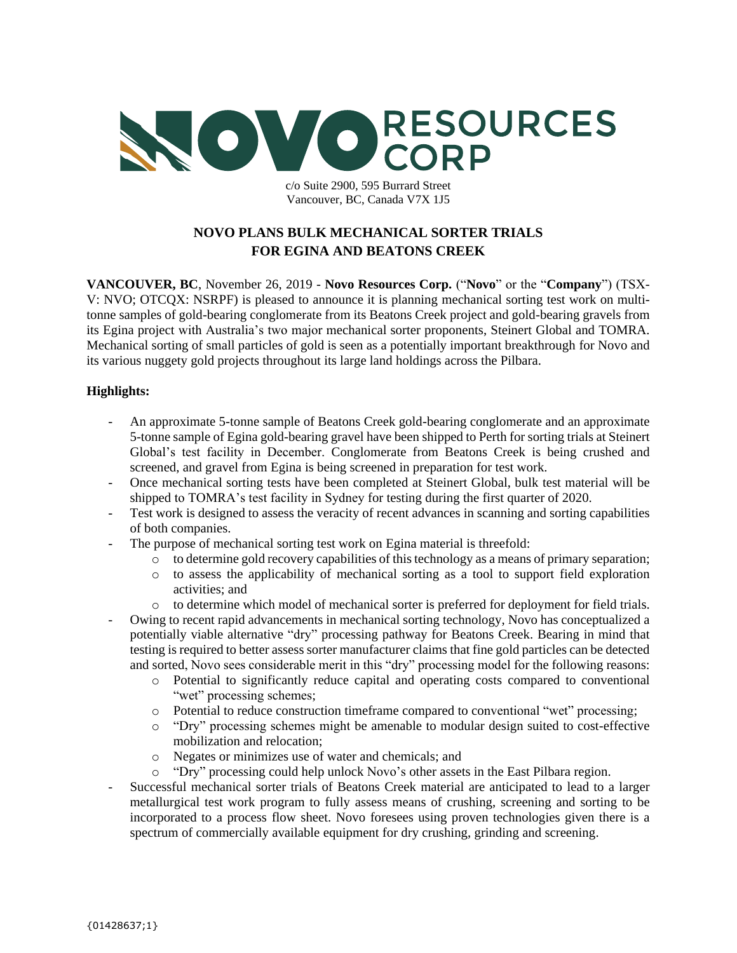

c/o Suite 2900, 595 Burrard Street Vancouver, BC, Canada V7X 1J5

# **NOVO PLANS BULK MECHANICAL SORTER TRIALS FOR EGINA AND BEATONS CREEK**

**VANCOUVER, BC**, November 26, 2019 - **Novo Resources Corp.** ("**Novo**" or the "**Company**") (TSX-V: NVO; OTCQX: NSRPF) is pleased to announce it is planning mechanical sorting test work on multitonne samples of gold-bearing conglomerate from its Beatons Creek project and gold-bearing gravels from its Egina project with Australia's two major mechanical sorter proponents, Steinert Global and TOMRA. Mechanical sorting of small particles of gold is seen as a potentially important breakthrough for Novo and its various nuggety gold projects throughout its large land holdings across the Pilbara.

## **Highlights:**

- An approximate 5-tonne sample of Beatons Creek gold-bearing conglomerate and an approximate 5-tonne sample of Egina gold-bearing gravel have been shipped to Perth for sorting trials at Steinert Global's test facility in December. Conglomerate from Beatons Creek is being crushed and screened, and gravel from Egina is being screened in preparation for test work.
- Once mechanical sorting tests have been completed at Steinert Global, bulk test material will be shipped to TOMRA's test facility in Sydney for testing during the first quarter of 2020.
- Test work is designed to assess the veracity of recent advances in scanning and sorting capabilities of both companies.
- The purpose of mechanical sorting test work on Egina material is threefold:
	- $\circ$  to determine gold recovery capabilities of this technology as a means of primary separation;
	- o to assess the applicability of mechanical sorting as a tool to support field exploration activities; and
	- o to determine which model of mechanical sorter is preferred for deployment for field trials.
- Owing to recent rapid advancements in mechanical sorting technology, Novo has conceptualized a potentially viable alternative "dry" processing pathway for Beatons Creek. Bearing in mind that testing is required to better assess sorter manufacturer claims that fine gold particles can be detected and sorted, Novo sees considerable merit in this "dry" processing model for the following reasons:
	- o Potential to significantly reduce capital and operating costs compared to conventional "wet" processing schemes;
	- o Potential to reduce construction timeframe compared to conventional "wet" processing;
	- o "Dry" processing schemes might be amenable to modular design suited to cost-effective mobilization and relocation;
	- o Negates or minimizes use of water and chemicals; and
	- o "Dry" processing could help unlock Novo's other assets in the East Pilbara region.
- Successful mechanical sorter trials of Beatons Creek material are anticipated to lead to a larger metallurgical test work program to fully assess means of crushing, screening and sorting to be incorporated to a process flow sheet. Novo foresees using proven technologies given there is a spectrum of commercially available equipment for dry crushing, grinding and screening.